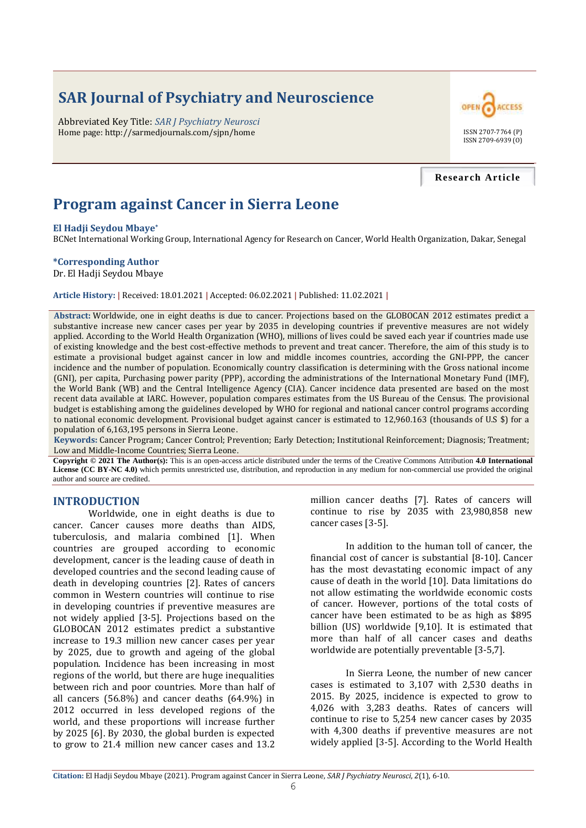# **SAR Journal of Psychiatry and Neuroscience**

Abbreviated Key Title: *SAR J Psychiatry Neurosci* Home page: http://sarmedjournals.com/sjpn/home ISSN 2707-7764 (P)



**Research Article**

## **Program against Cancer in Sierra Leone**

#### **El Hadji Seydou Mbaye\***

BCNet International Working Group, International Agency for Research on Cancer, World Health Organization, Dakar, Senegal

#### **\*Corresponding Author**

Dr. El Hadji Seydou Mbaye

**Article History: |** Received: 18.01.2021 **|** Accepted: 06.02.2021 **|** Published: 11.02.2021 **|**

**Abstract:** Worldwide, one in eight deaths is due to cancer. Projections based on the GLOBOCAN 2012 estimates predict a substantive increase new cancer cases per year by 2035 in developing countries if preventive measures are not widely applied. According to the World Health Organization (WHO), millions of lives could be saved each year if countries made use of existing knowledge and the best cost-effective methods to prevent and treat cancer. Therefore, the aim of this study is to estimate a provisional budget against cancer in low and middle incomes countries, according the GNI-PPP, the cancer incidence and the number of population. Economically country classification is determining with the Gross national income (GNI), per capita, Purchasing power parity (PPP), according the administrations of the International Monetary Fund (IMF), the World Bank (WB) and the Central Intelligence Agency (CIA). Cancer incidence data presented are based on the most recent data available at IARC. However, population compares estimates from the US Bureau of the Census. The provisional budget is establishing among the guidelines developed by WHO for regional and national cancer control programs according to national economic development. Provisional budget against cancer is estimated to 12,960.163 (thousands of U.S \$) for a population of 6,163,195 persons in Sierra Leone.

**Keywords:** Cancer Program; Cancer Control; Prevention; Early Detection; Institutional Reinforcement; Diagnosis; Treatment; Low and Middle-Income Countries; Sierra Leone.

**Copyright © 2021 The Author(s):** This is an open-access article distributed under the terms of the Creative Commons Attribution **4.0 International License (CC BY-NC 4.0)** which permits unrestricted use, distribution, and reproduction in any medium for non-commercial use provided the original author and source are credited.

#### **INTRODUCTION**

Worldwide, one in eight deaths is due to cancer. Cancer causes more deaths than AIDS, tuberculosis, and malaria combined [1]. When countries are grouped according to economic development, cancer is the leading cause of death in developed countries and the second leading cause of death in developing countries [2]. Rates of cancers common in Western countries will continue to rise in developing countries if preventive measures are not widely applied [3-5]. Projections based on the GLOBOCAN 2012 estimates predict a substantive increase to 19.3 million new cancer cases per year by 2025, due to growth and ageing of the global population. Incidence has been increasing in most regions of the world, but there are huge inequalities between rich and poor countries. More than half of all cancers (56.8%) and cancer deaths (64.9%) in 2012 occurred in less developed regions of the world, and these proportions will increase further by 2025 [6]. By 2030, the global burden is expected to grow to 21.4 million new cancer cases and 13.2 million cancer deaths [7]. Rates of cancers will continue to rise by 2035 with 23,980,858 new cancer cases [3-5].

In addition to the human toll of cancer, the financial cost of cancer is substantial [8-10]. Cancer has the most devastating economic impact of any cause of death in the world [10]. Data limitations do not allow estimating the worldwide economic costs of cancer. However, portions of the total costs of cancer have been estimated to be as high as \$895 billion (US) worldwide [9,10]. It is estimated that more than half of all cancer cases and deaths worldwide are potentially preventable [3-5,7].

In Sierra Leone, the number of new cancer cases is estimated to 3,107 with 2,530 deaths in 2015. By 2025, incidence is expected to grow to 4,026 with 3,283 deaths. Rates of cancers will continue to rise to 5,254 new cancer cases by 2035 with 4,300 deaths if preventive measures are not widely applied [3-5]. According to the World Health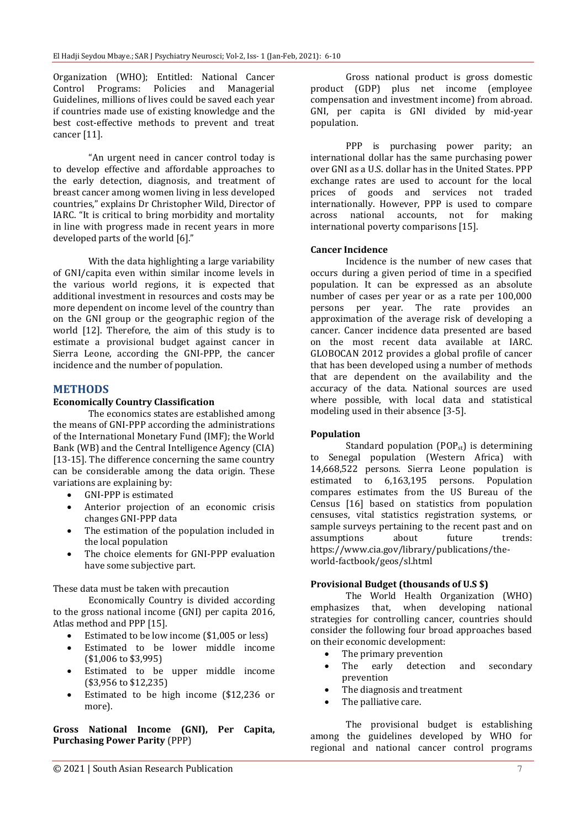Organization (WHO); Entitled: National Cancer Control Programs: Policies and Managerial Guidelines, millions of lives could be saved each year if countries made use of existing knowledge and the best cost-effective methods to prevent and treat cancer [11].

"An urgent need in cancer control today is to develop effective and affordable approaches to the early detection, diagnosis, and treatment of breast cancer among women living in less developed countries," explains Dr Christopher Wild, Director of IARC. "It is critical to bring morbidity and mortality in line with progress made in recent years in more developed parts of the world [6]."

With the data highlighting a large variability of GNI/capita even within similar income levels in the various world regions, it is expected that additional investment in resources and costs may be more dependent on income level of the country than on the GNI group or the geographic region of the world [12]. Therefore, the aim of this study is to estimate a provisional budget against cancer in Sierra Leone, according the GNI-PPP, the cancer incidence and the number of population.

### **METHODS**

#### **Economically Country Classification**

The economics states are established among the means of GNI-PPP according the administrations of the International Monetary Fund (IMF); the World Bank (WB) and the Central Intelligence Agency (CIA) [13-15]. The difference concerning the same country can be considerable among the data origin. These variations are explaining by:

- GNI-PPP is estimated
- Anterior projection of an economic crisis changes GNI-PPP data
- The estimation of the population included in the local population
- The choice elements for GNI-PPP evaluation have some subjective part.

These data must be taken with precaution

Economically Country is divided according to the gross national income (GNI) per capita 2016, Atlas method and PPP [15].

- Estimated to be low income (\$1,005 or less)
- Estimated to be lower middle income (\$1,006 to \$3,995)
- Estimated to be upper middle income (\$3,956 to \$12,235)
- Estimated to be high income (\$12,236 or more).

**Gross National Income (GNI), Per Capita, Purchasing Power Parity** (PPP)

Gross national product is gross domestic product (GDP) plus net income (employee compensation and investment income) from abroad. GNI, per capita is GNI divided by mid-year population.

PPP is purchasing power parity; an international dollar has the same purchasing power over GNI as a U.S. dollar has in the United States. PPP exchange rates are used to account for the local prices of goods and services not traded internationally. However, PPP is used to compare across national accounts, not for making international poverty comparisons [15].

#### **Cancer Incidence**

Incidence is the number of new cases that occurs during a given period of time in a specified population. It can be expressed as an absolute number of cases per year or as a rate per 100,000 persons per year. The rate provides an approximation of the average risk of developing a cancer. Cancer incidence data presented are based on the most recent data available at IARC. GLOBOCAN 2012 provides a global profile of cancer that has been developed using a number of methods that are dependent on the availability and the accuracy of the data. National sources are used where possible, with local data and statistical modeling used in their absence [3-5].

### **Population**

Standard population  $(POP_{st})$  is determining to Senegal population (Western Africa) with 14,668,522 persons. Sierra Leone population is estimated to 6,163,195 persons. Population compares estimates from the US Bureau of the Census [16] based on statistics from population censuses, vital statistics registration systems, or sample surveys pertaining to the recent past and on assumptions about future trends: https://www.cia.gov/library/publications/theworld-factbook/geos/sl.html

### **Provisional Budget (thousands of U.S \$)**

The World Health Organization (WHO) emphasizes that, when developing national strategies for controlling cancer, countries should consider the following four broad approaches based on their economic development:

- The primary prevention
- The early detection and secondary prevention
- The diagnosis and treatment
- The palliative care.

The provisional budget is establishing among the guidelines developed by WHO for regional and national cancer control programs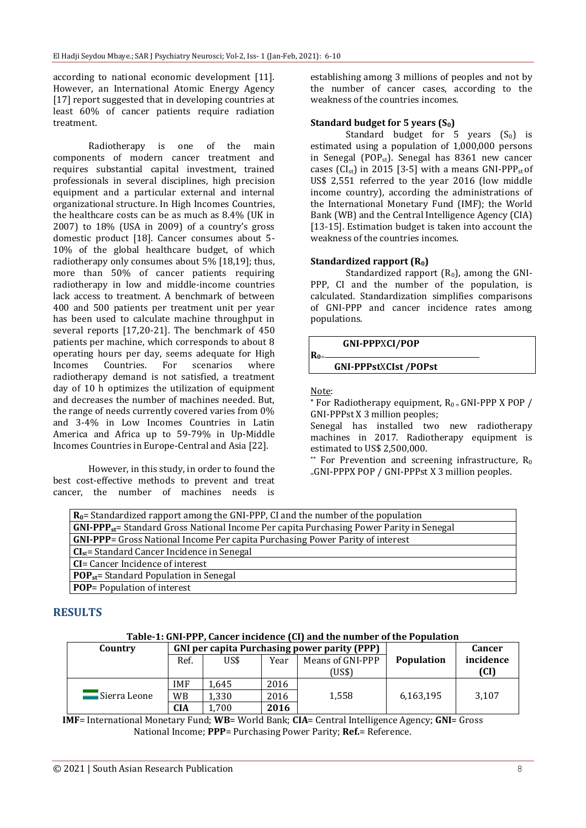according to national economic development [11]. However, an International Atomic Energy Agency [17] report suggested that in developing countries at least 60% of cancer patients require radiation treatment.

Radiotherapy is one of the main components of modern cancer treatment and requires substantial capital investment, trained professionals in several disciplines, high precision equipment and a particular external and internal organizational structure. In High Incomes Countries, the healthcare costs can be as much as 8.4% (UK in 2007) to 18% (USA in 2009) of a country's gross domestic product [18]. Cancer consumes about 5- 10% of the global healthcare budget, of which radiotherapy only consumes about 5% [18,19]; thus, more than 50% of cancer patients requiring radiotherapy in low and middle-income countries lack access to treatment. A benchmark of between 400 and 500 patients per treatment unit per year has been used to calculate machine throughput in several reports [17,20-21]. The benchmark of 450 patients per machine, which corresponds to about 8 operating hours per day, seems adequate for High Incomes Countries. For scenarios where radiotherapy demand is not satisfied, a treatment day of 10 h optimizes the utilization of equipment and decreases the number of machines needed. But, the range of needs currently covered varies from 0% and 3-4% in Low Incomes Countries in Latin America and Africa up to 59-79% in Up-Middle Incomes Countries in Europe-Central and Asia [22].

However, in this study, in order to found the best cost-effective methods to prevent and treat cancer, the number of machines needs is establishing among 3 millions of peoples and not by the number of cancer cases, according to the weakness of the countries incomes.

### **Standard budget for 5 years (S0)**

Standard budget for 5 years  $(S_0)$  is estimated using a population of 1,000,000 persons in Senegal (POP<sub>st</sub>). Senegal has  $8361$  new cancer cases ( $CI<sub>st</sub>$ ) in 2015 [3-5] with a means GNI-PPP<sub>st</sub> of US\$ 2,551 referred to the year 2016 (low middle income country), according the administrations of the International Monetary Fund (IMF); the World Bank (WB) and the Central Intelligence Agency (CIA) [13-15]. Estimation budget is taken into account the weakness of the countries incomes.

#### **Standardized rapport (R0)**

Standardized rapport  $(R_0)$ , among the GNI-PPP, CI and the number of the population, is calculated. Standardization simplifies comparisons of GNI-PPP and cancer incidence rates among populations.

 **GNI-PPP**X**CI/POP R0**<sup>=</sup>

### **GNI-PPPst**X**CIst /POPst**

Note:

For Radiotherapy equipment,  $R_0 = GNI-PPP \times POP /$ GNI-PPPst X 3 million peoples;

Senegal has installed two new radiotherapy machines in 2017. Radiotherapy equipment is estimated to US\$ 2,500,000.

\*\* For Prevention and screening infrastructure,  $R_0$  $=$ GNI-PPPX POP / GNI-PPPst X 3 million peoples.

### **RESULTS**

| Table-1: GNI-PPP, Cancer incidence (CI) and the number of the Population |
|--------------------------------------------------------------------------|
|--------------------------------------------------------------------------|

| Country        |            | <b>GNI</b> per capita Purchasing power parity (PPP) |      |                  | Cancer            |           |
|----------------|------------|-----------------------------------------------------|------|------------------|-------------------|-----------|
|                | Ref.       | US\$                                                | Year | Means of GNI-PPP | <b>Population</b> | incidence |
|                |            |                                                     |      | (US\$)           |                   | (CI)      |
|                | <b>IMF</b> | 1.645                                               | 2016 |                  |                   |           |
| . Sierra Leone | <b>WB</b>  | 1.330                                               | 2016 | 1.558            | 6,163,195         | 3,107     |
|                | CIA        | .700                                                | 2016 |                  |                   |           |

**IMF**= International Monetary Fund; **WB**= World Bank; **CIA**= Central Intelligence Agency; **GNI**= Gross National Income; **PPP**= Purchasing Power Parity; **Ref.**= Reference.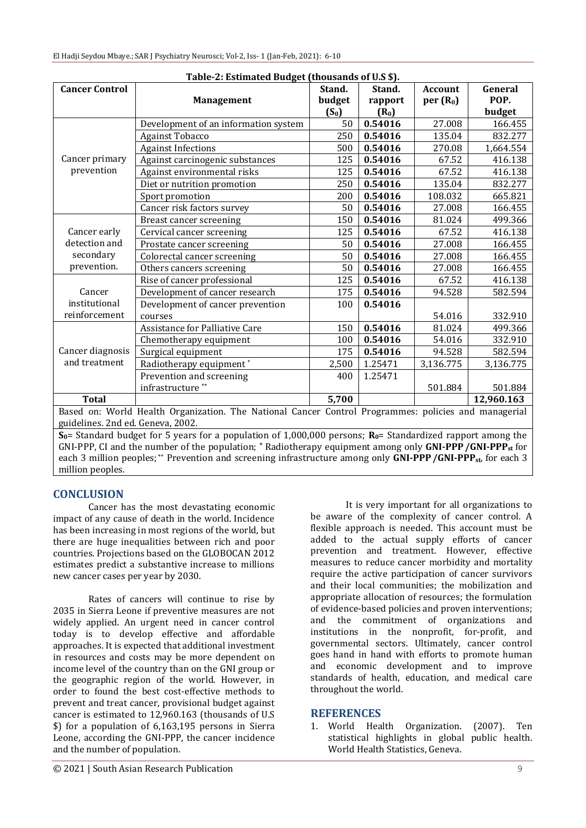| Table-2: Estimated Budget (thousands of U.S \$).                                                                |                                      |         |         |                      |            |  |  |  |  |
|-----------------------------------------------------------------------------------------------------------------|--------------------------------------|---------|---------|----------------------|------------|--|--|--|--|
| <b>Cancer Control</b>                                                                                           |                                      | Stand.  | Stand.  | <b>Account</b>       | General    |  |  |  |  |
|                                                                                                                 | <b>Management</b>                    | budget  | rapport | per(R <sub>0</sub> ) | POP.       |  |  |  |  |
|                                                                                                                 |                                      | $(S_0)$ | $(R_0)$ |                      | budget     |  |  |  |  |
|                                                                                                                 | Development of an information system | 50      | 0.54016 | 27.008               | 166.455    |  |  |  |  |
|                                                                                                                 | <b>Against Tobacco</b>               | 250     | 0.54016 | 135.04               | 832.277    |  |  |  |  |
|                                                                                                                 | <b>Against Infections</b>            | 500     | 0.54016 | 270.08               | 1,664.554  |  |  |  |  |
| Cancer primary                                                                                                  | Against carcinogenic substances      | 125     | 0.54016 | 67.52                | 416.138    |  |  |  |  |
| prevention                                                                                                      | Against environmental risks          | 125     | 0.54016 | 67.52                | 416.138    |  |  |  |  |
|                                                                                                                 | Diet or nutrition promotion          | 250     | 0.54016 | 135.04               | 832.277    |  |  |  |  |
|                                                                                                                 | Sport promotion                      | 200     | 0.54016 | 108.032              | 665.821    |  |  |  |  |
|                                                                                                                 | Cancer risk factors survey           | 50      | 0.54016 | 27.008               | 166.455    |  |  |  |  |
|                                                                                                                 | <b>Breast cancer screening</b>       | 150     | 0.54016 | 81.024               | 499.366    |  |  |  |  |
| Cancer early<br>detection and                                                                                   | Cervical cancer screening            | 125     | 0.54016 | 67.52                | 416.138    |  |  |  |  |
|                                                                                                                 | Prostate cancer screening            | 50      | 0.54016 | 27.008               | 166.455    |  |  |  |  |
| secondary                                                                                                       | Colorectal cancer screening          | 50      | 0.54016 | 27.008               | 166.455    |  |  |  |  |
| prevention.                                                                                                     | Others cancers screening             | 50      | 0.54016 | 27.008               | 166.455    |  |  |  |  |
|                                                                                                                 | Rise of cancer professional          | 125     | 0.54016 | 67.52                | 416.138    |  |  |  |  |
| Cancer                                                                                                          | Development of cancer research       | 175     | 0.54016 | 94.528               | 582.594    |  |  |  |  |
| institutional                                                                                                   | Development of cancer prevention     | 100     | 0.54016 |                      |            |  |  |  |  |
| reinforcement                                                                                                   | courses                              |         |         | 54.016               | 332.910    |  |  |  |  |
| Cancer diagnosis<br>and treatment                                                                               | Assistance for Palliative Care       | 150     | 0.54016 | 81.024               | 499.366    |  |  |  |  |
|                                                                                                                 | Chemotherapy equipment               | 100     | 0.54016 | 54.016               | 332.910    |  |  |  |  |
|                                                                                                                 | Surgical equipment                   | 175     | 0.54016 | 94.528               | 582.594    |  |  |  |  |
|                                                                                                                 | Radiotherapy equipment*              | 2,500   | 1.25471 | 3,136.775            | 3,136.775  |  |  |  |  |
|                                                                                                                 | Prevention and screening             | 400     | 1.25471 |                      |            |  |  |  |  |
|                                                                                                                 | infrastructure <sup>**</sup>         |         |         | 501.884              | 501.884    |  |  |  |  |
| <b>Total</b>                                                                                                    |                                      | 5,700   |         |                      | 12,960.163 |  |  |  |  |
| Based on: World Health Organization. The National Cancer Control Programmes: policies and managerial            |                                      |         |         |                      |            |  |  |  |  |
| guidelines. 2nd ed. Geneva, 2002.                                                                               |                                      |         |         |                      |            |  |  |  |  |
| $S_0$ Standard budget for 5 years for a population of 1.000.000 persons: $R_0$ = Standardized rapport among the |                                      |         |         |                      |            |  |  |  |  |

**B** ard budget for 5 years for a population of 1,000,000 persons;  $\mathbf{R_0}$ = Standardized rap GNI-PPP, CI and the number of the population; **\*** Radiotherapy equipment among only **GNI-PPP/GNI-PPPst** for each 3 million peoples; \*\* Prevention and screening infrastructure among only **GNI-PPP/GNI-PPPst**, for each 3 million peoples.

## **CONCLUSION**

Cancer has the most devastating economic impact of any cause of death in the world. Incidence has been increasing in most regions of the world, but there are huge inequalities between rich and poor countries. Projections based on the GLOBOCAN 2012 estimates predict a substantive increase to millions new cancer cases per year by 2030.

Rates of cancers will continue to rise by 2035 in Sierra Leone if preventive measures are not widely applied. An urgent need in cancer control today is to develop effective and affordable approaches. It is expected that additional investment in resources and costs may be more dependent on income level of the country than on the GNI group or the geographic region of the world. However, in order to found the best cost-effective methods to prevent and treat cancer, provisional budget against cancer is estimated to 12,960.163 (thousands of U.S \$) for a population of 6,163,195 persons in Sierra Leone, according the GNI-PPP, the cancer incidence and the number of population.

It is very important for all organizations to be aware of the complexity of cancer control. A flexible approach is needed. This account must be added to the actual supply efforts of cancer prevention and treatment. However, effective measures to reduce cancer morbidity and mortality require the active participation of cancer survivors and their local communities; the mobilization and appropriate allocation of resources; the formulation of evidence-based policies and proven interventions; and the commitment of organizations and institutions in the nonprofit, for-profit, and governmental sectors. Ultimately, cancer control goes hand in hand with efforts to promote human and economic development and to improve standards of health, education, and medical care throughout the world.

## **REFERENCES**

1. World Health Organization. (2007). Ten statistical highlights in global public health. World Health Statistics, Geneva.